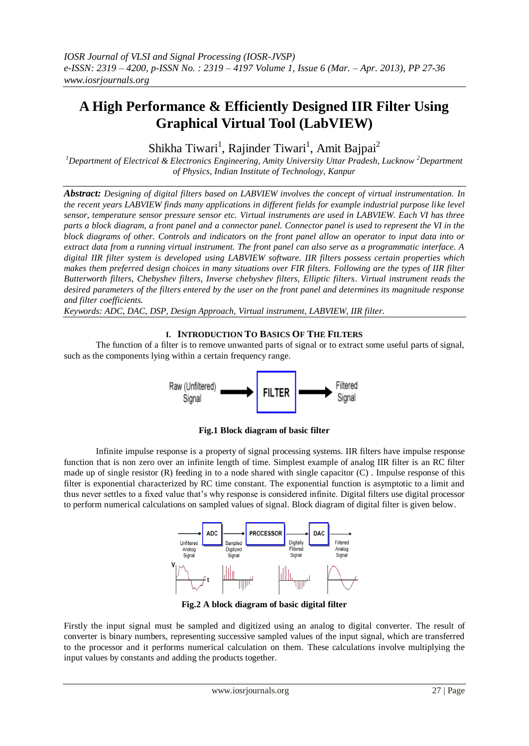# **A High Performance & Efficiently Designed IIR Filter Using Graphical Virtual Tool (LabVIEW)**

Shikha Tiwari<sup>1</sup>, Rajinder Tiwari<sup>1</sup>, Amit Bajpai<sup>2</sup>

<sup>1</sup>*Department of Electrical & Electronics Engineering, Amity University Uttar Pradesh, Lucknow* <sup>2</sup>*Department of Physics, Indian Institute of Technology, Kanpur* 

*Abstract: Designing of digital filters based on LABVIEW involves the concept of virtual instrumentation. In the recent years LABVIEW finds many applications in different fields for example industrial purpose like level sensor, temperature sensor pressure sensor etc. Virtual instruments are used in LABVIEW. Each VI has three parts a block diagram, a front panel and a connector panel. Connector panel is used to represent the VI in the block diagrams of other. Controls and indicators on the front panel allow an operator to input data into or extract data from a running virtual instrument. The front panel can also serve as a programmatic interface. A digital IIR filter system is developed using LABVIEW software. IIR filters possess certain properties which makes them preferred design choices in many situations over FIR filters. Following are the types of IIR filter Butterworth filters, Chebyshev filters, Inverse chebyshev filters, Elliptic filters. Virtual instrument reads the desired parameters of the filters entered by the user on the front panel and determines its magnitude response and filter coefficients.*

*Keywords: ADC, DAC, DSP, Design Approach, Virtual instrument, LABVIEW, IIR filter.*

## **I. INTRODUCTION TO BASICS OF THE FILTERS**

The function of a filter is to remove unwanted parts of signal or to extract some useful parts of signal, such as the components lying within a certain frequency range.



**Fig.1 Block diagram of basic filter**

Infinite impulse response is a property of signal processing systems. IIR filters have impulse response function that is non zero over an infinite length of time. Simplest example of analog IIR filter is an RC filter made up of single resistor (R) feeding in to a node shared with single capacitor (C) . Impulse response of this filter is exponential characterized by RC time constant. The exponential function is asymptotic to a limit and thus never settles to a fixed value that's why response is considered infinite. Digital filters use digital processor to perform numerical calculations on sampled values of signal. Block diagram of digital filter is given below.



**Fig.2 A block diagram of basic digital filter**

Firstly the input signal must be sampled and digitized using an analog to digital converter. The result of converter is binary numbers, representing successive sampled values of the input signal, which are transferred to the processor and it performs numerical calculation on them. These calculations involve multiplying the input values by constants and adding the products together.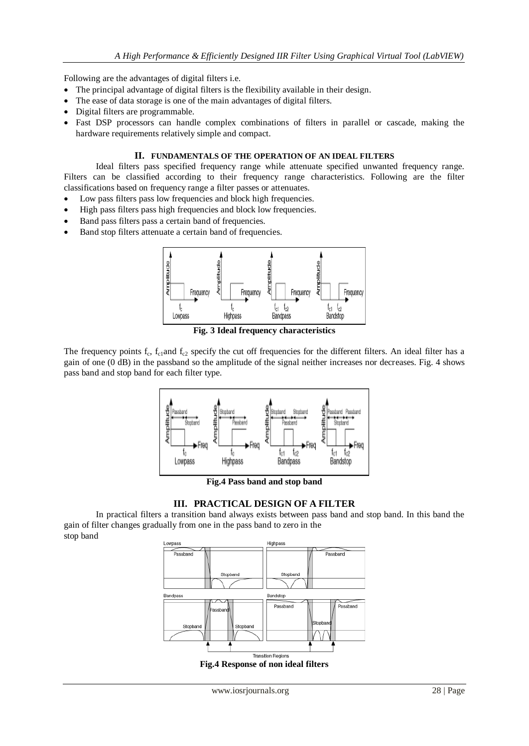Following are the advantages of digital filters i.e.

- The principal advantage of digital filters is the flexibility available in their design.
- The ease of data storage is one of the main advantages of digital filters.
- Digital filters are programmable.
- Fast DSP processors can handle complex combinations of filters in parallel or cascade, making the hardware requirements relatively simple and compact.

## **II. FUNDAMENTALS OF THE OPERATION OF AN IDEAL FILTERS**

Ideal filters pass specified frequency range while attenuate specified unwanted frequency range. Filters can be classified according to their frequency range characteristics. Following are the filter classifications based on frequency range a filter passes or attenuates.

- Low pass filters pass low frequencies and block high frequencies.
- High pass filters pass high frequencies and block low frequencies.
- Band pass filters pass a certain band of frequencies.
- Band stop filters attenuate a certain band of frequencies.



**Fig. 3 Ideal frequency characteristics** 

The frequency points  $f_c$ ,  $f_{c1}$ and  $f_{c2}$  specify the cut off frequencies for the different filters. An ideal filter has a gain of one (0 dB) in the passband so the amplitude of the signal neither increases nor decreases. Fig. 4 shows pass band and stop band for each filter type.



**Fig.4 Pass band and stop band**

## **III. PRACTICAL DESIGN OF A FILTER**

In practical filters a transition band always exists between pass band and stop band. In this band the gain of filter changes gradually from one in the pass band to zero in the stop band

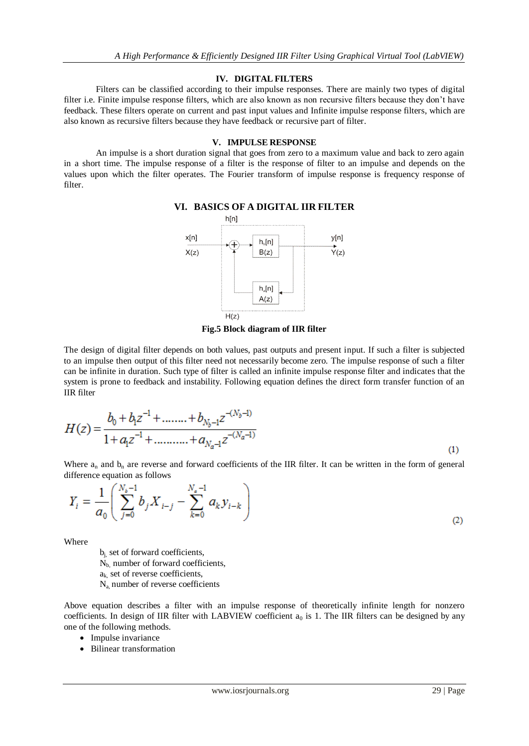#### **IV. DIGITAL FILTERS**

Filters can be classified according to their impulse responses. There are mainly two types of digital filter i.e. Finite impulse response filters, which are also known as non recursive filters because they don't have feedback. These filters operate on current and past input values and Infinite impulse response filters, which are also known as recursive filters because they have feedback or recursive part of filter.

## **V. IMPULSE RESPONSE**

An impulse is a short duration signal that goes from zero to a maximum value and back to zero again in a short time. The impulse response of a filter is the response of filter to an impulse and depends on the values upon which the filter operates. The Fourier transform of impulse response is frequency response of filter.



## **VI. BASICS OF A DIGITAL IIR FILTER**

**Fig.5 Block diagram of IIR filter**

The design of digital filter depends on both values, past outputs and present input. If such a filter is subjected to an impulse then output of this filter need not necessarily become zero. The impulse response of such a filter can be infinite in duration. Such type of filter is called an infinite impulse response filter and indicates that the system is prone to feedback and instability. Following equation defines the direct form transfer function of an IIR filter

$$
H(z) = \frac{b_0 + b_1 z^{-1} + \dots + b_{N_b - 1} z^{-(N_b - 1)}}{1 + a_1 z^{-1} + \dots + a_{N_a - 1} z^{-(N_a - 1)}}
$$
\n<sup>(1)</sup>

Where  $a_n$  and  $b_n$  are reverse and forward coefficients of the IIR filter. It can be written in the form of general difference equation as follows

$$
Y_i = \frac{1}{a_0} \left( \sum_{j=0}^{N_s - 1} b_j X_{i-j} - \sum_{k=0}^{N_s - 1} a_k y_{i-k} \right)
$$
 (2)

Where

 $b_i$ , set of forward coefficients, N<sub>b,</sub> number of forward coefficients,  $a_k$ , set of reverse coefficients, Na, number of reverse coefficients

Above equation describes a filter with an impulse response of theoretically infinite length for nonzero coefficients. In design of IIR filter with LABVIEW coefficient  $a_0$  is 1. The IIR filters can be designed by any one of the following methods.

- Impulse invariance
- Bilinear transformation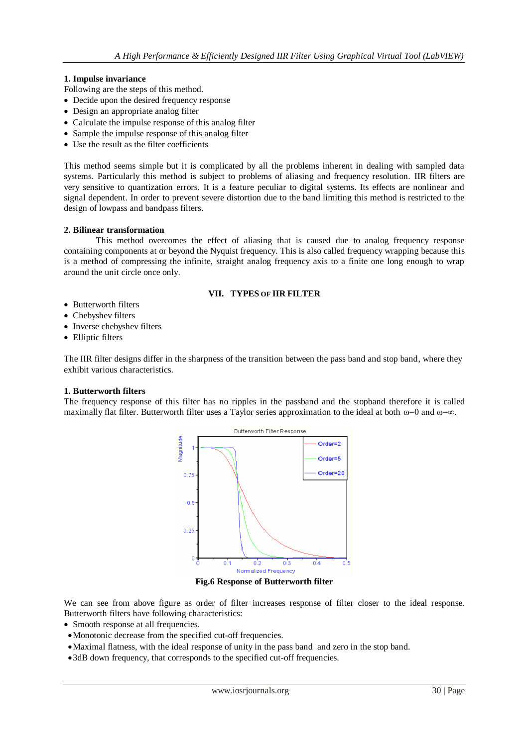## **1. Impulse invariance**

- Following are the steps of this method.
- Decide upon the desired frequency response
- Design an appropriate analog filter
- Calculate the impulse response of this analog filter
- Sample the impulse response of this analog filter
- Use the result as the filter coefficients

This method seems simple but it is complicated by all the problems inherent in dealing with sampled data systems. Particularly this method is subject to problems of aliasing and frequency resolution. IIR filters are very sensitive to quantization errors. It is a feature peculiar to digital systems. Its effects are nonlinear and signal dependent. In order to prevent severe distortion due to the band limiting this method is restricted to the design of lowpass and bandpass filters.

## **2. Bilinear transformation**

This method overcomes the effect of aliasing that is caused due to analog frequency response containing components at or beyond the Nyquist frequency. This is also called frequency wrapping because this is a method of compressing the infinite, straight analog frequency axis to a finite one long enough to wrap around the unit circle once only.

## **VII. TYPES OF IIR FILTER**

- Butterworth filters
- Chebyshev filters
- Inverse chebyshev filters
- Elliptic filters

The IIR filter designs differ in the sharpness of the transition between the pass band and stop band, where they exhibit various characteristics.

## **1. Butterworth filters**

The frequency response of this filter has no ripples in the passband and the stopband therefore it is called maximally flat filter. Butterworth filter uses a Taylor series approximation to the ideal at both  $\omega=0$  and  $\omega=\infty$ .



**Fig.6 Response of Butterworth filter**

We can see from above figure as order of filter increases response of filter closer to the ideal response. Butterworth filters have following characteristics:

- Smooth response at all frequencies.
- Monotonic decrease from the specified cut-off frequencies.
- Maximal flatness, with the ideal response of unity in the pass band and zero in the stop band.
- 3dB down frequency, that corresponds to the specified cut-off frequencies.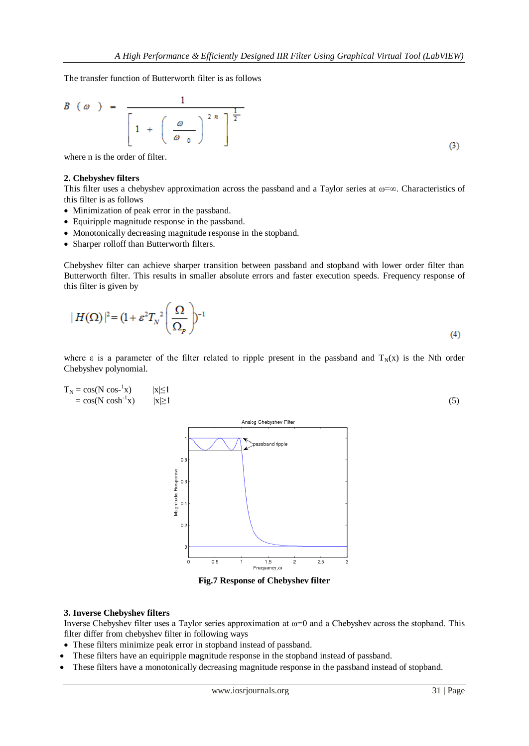The transfer function of Butterworth filter is as follows

$$
B\left(\omega\right) = \frac{1}{\left[1 + \left(\frac{\omega}{\omega_0}\right)^{2n}\right]^{\frac{1}{2}}}
$$

where n is the order of filter.

## **2. Chebyshev filters**

This filter uses a chebyshev approximation across the passband and a Taylor series at  $\omega = \infty$ . Characteristics of this filter is as follows

- Minimization of peak error in the passband.
- Equiripple magnitude response in the passband.
- Monotonically decreasing magnitude response in the stopband.
- Sharper rolloff than Butterworth filters.

Chebyshev filter can achieve sharper transition between passband and stopband with lower order filter than Butterworth filter. This results in smaller absolute errors and faster execution speeds. Frequency response of this filter is given by

$$
|H(\Omega)|^2 = (1 + \varepsilon^2 T_N^2 \left(\frac{\Omega}{\Omega_p}\right))^{-1}
$$
\n(4)

where  $\varepsilon$  is a parameter of the filter related to ripple present in the passband and  $T_N(x)$  is the Nth order Chebyshev polynomial.

$$
T_N = \cos(N \cos^{-1} x) \qquad |x| \le 1
$$
  
= cos(N cosh<sup>-1</sup>x) \qquad |x| \ge 1 (5)



**Fig.7 Response of Chebyshev filter**

## **3. Inverse Chebyshev filters**

Inverse Chebyshev filter uses a Taylor series approximation at  $\omega=0$  and a Chebyshev across the stopband. This filter differ from chebyshev filter in following ways

- These filters minimize peak error in stopband instead of passband.
- These filters have an equiripple magnitude response in the stopband instead of passband.
- These filters have a monotonically decreasing magnitude response in the passband instead of stopband.

 $(3)$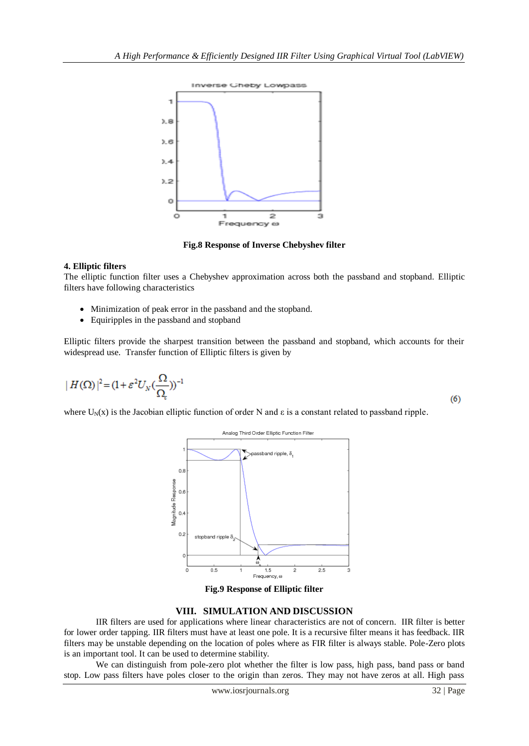

**Fig.8 Response of Inverse Chebyshev filter**

## **4. Elliptic filters**

The elliptic function filter uses a Chebyshev approximation across both the passband and stopband. Elliptic filters have following characteristics

- Minimization of peak error in the passband and the stopband.
- Equiripples in the passband and stopband

Elliptic filters provide the sharpest transition between the passband and stopband, which accounts for their widespread use. Transfer function of Elliptic filters is given by

$$
|H(\Omega)|^2 = (1 + \varepsilon^2 U_N(\frac{\Omega}{\Omega}))^{-1}
$$

where  $U_N(x)$  is the Jacobian elliptic function of order N and  $\varepsilon$  is a constant related to passband ripple.



**Fig.9 Response of Elliptic filter**

## **VIII. SIMULATION AND DISCUSSION**

IIR filters are used for applications where linear characteristics are not of concern. IIR filter is better for lower order tapping. IIR filters must have at least one pole. It is a recursive filter means it has feedback. IIR filters may be unstable depending on the location of poles where as FIR filter is always stable. Pole-Zero plots is an important tool. It can be used to determine stability.

We can distinguish from pole-zero plot whether the filter is low pass, high pass, band pass or band stop. Low pass filters have poles closer to the origin than zeros. They may not have zeros at all. High pass

 $(6)$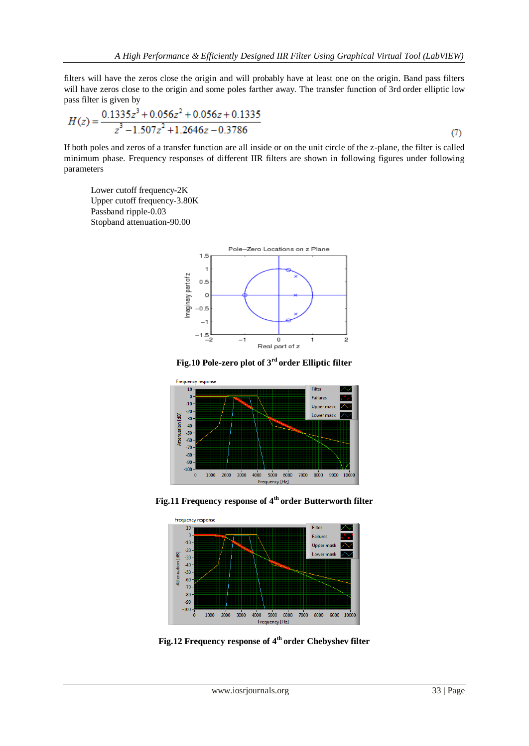filters will have the zeros close the origin and will probably have at least one on the origin. Band pass filters will have zeros close to the origin and some poles farther away. The transfer function of 3rd order elliptic low pass filter is given by

$$
H(z) = \frac{0.1335z^3 + 0.056z^2 + 0.056z + 0.1335}{z^3 - 1.507z^2 + 1.2646z - 0.3786}
$$
\n<sup>(7)</sup>

If both poles and zeros of a transfer function are all inside or on the unit circle of the z-plane, the filter is called minimum phase. Frequency responses of different IIR filters are shown in following figures under following parameters

Lower cutoff frequency-2K Upper cutoff frequency-3.80K Passband ripple-0.03 Stopband attenuation-90.00



**Fig.10 Pole-zero plot of 3rd order Elliptic filter**



**Fig.11 Frequency response of 4th order Butterworth filter**



**Fig.12 Frequency response of 4th order Chebyshev filter**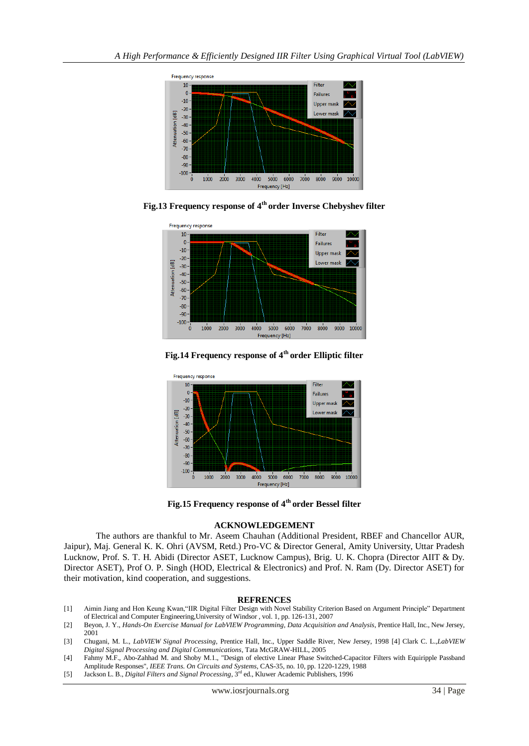

**Fig.13 Frequency response of 4th order Inverse Chebyshev filter**



**Fig.14 Frequency response of 4th order Elliptic filter**



**Fig.15 Frequency response of 4th order Bessel filter**

## **ACKNOWLEDGEMENT**

The authors are thankful to Mr. Aseem Chauhan (Additional President, RBEF and Chancellor AUR, Jaipur), Maj. General K. K. Ohri (AVSM, Retd.) Pro-VC & Director General, Amity University, Uttar Pradesh Lucknow, Prof. S. T. H. Abidi (Director ASET, Lucknow Campus), Brig. U. K. Chopra (Director AIIT & Dy. Director ASET), Prof O. P. Singh (HOD, Electrical & Electronics) and Prof. N. Ram (Dy. Director ASET) for their motivation, kind cooperation, and suggestions.

## **REFRENCES**

- [1] Aimin Jiang and Hon Keung Kwan,"IIR Digital Filter Design with Novel Stability Criterion Based on Argument Principle" Department of Electrical and Computer Engineering,University of Windsor , vol. 1, pp. 126-131, 2007
- [2] Beyon, J. Y., *Hands-On Exercise Manual for LabVIEW Programming, Data Acquisition and Analysis*, Prentice Hall, Inc., New Jersey, 2001
- [3] Chugani, M. L., *LabVIEW Signal Processing*, Prentice Hall, Inc., Upper Saddle River, New Jersey, 1998 [4] Clark C. L.,*LabVIEW Digital Signal Processing and Digital Communications*, Tata McGRAW-HILL, 2005
- [4] Fahmy M.F., Abo-Zahhad M. and Shoby M.1., "Design of elective Linear Phase Switched-Capacitor Filters with Equiripple Passband Amplitude Responses", *IEEE Trans. On Circuits and Systems,* CAS-35, no. 10, pp. 1220-1229, 1988
- [5] Jackson L. B., *Digital Filters and Signal Processing*, 3rd ed., Kluwer Academic Publishers, 1996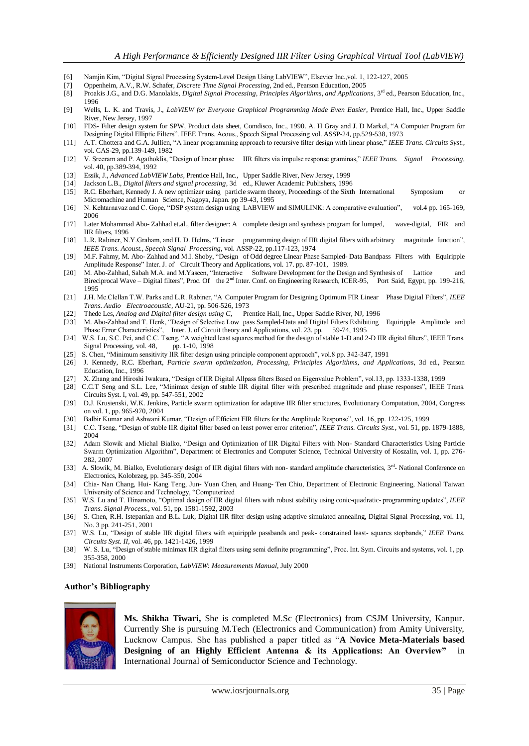- [6] Namjin Kim, "Digital Signal Processing System-Level Design Using LabVIEW", Elsevier Inc.,vol. 1, 122-127, 2005
- [7] Oppenheim, A.V., R.W. Schafer, *Discrete Time Signal Processing*, 2nd ed., Pearson Education, 2005
- [8] Proakis J.G., and D.G. Manolakis, *Digital Signal Processing, Principles Algorithms, and Applications*, 3rd ed., Pearson Education, Inc., 1996
- [9] Wells, L. K. and Travis, J., *LabVIEW for Everyone Graphical Programming Made Even Easier*, Prentice Hall, Inc., Upper Saddle River, New Jersey, 1997
- [10] FDS- Filter design system for SPW, Product data sheet, Comdisco, Inc., 1990. A. H Gray and J. D Markel, "A Computer Program for Designing Digital Elliptic Filters". IEEE Trans. Acous., Speech Signal Processing vol. ASSP-24, pp.529-538, 1973
- [11] A.T. Chottera and G.A. Jullien, "A linear programming approach to recursive filter design with linear phase," *IEEE Trans. Circuits Syst.*, vol. CAS-29, pp.139-149, 1982
- [12] V. Sreeram and P. Agathoklis, "Design of linear phase IIR filters via impulse response graminas," *IEEE Trans. Signal Processing,* vol. 40, pp.389-394, 1992
- [13] Essik, J., *Advanced LabVIEW Labs*, Prentice Hall, Inc., Upper Saddle River, New Jersey, 1999
- [14] Jackson L.B., *Digital filters and signal processing*, 3d ed., Kluwer Academic Publishers, 1996
- [15] R.C. Eberhart, Kennedy J. A new optimizer using particle swarm theory, Proceedings of the Sixth International Symposium or Micromachine and Human Science, Nagoya, Japan. pp 39-43, 1995
- [16] N. Kehtarnavaz and C. Gope, "DSP system design using LABVIEW and SIMULINK: A comparative evaluation", vol.4 pp. 165-169, 2006
- [17] Later Mohammad Abo- Zahhad et.al., filter designer: A complete design and synthesis program for lumped, wave-digital, FIR and IIR filters, 1996
- [18] L.R. Rabiner, N.Y.Graham, and H. D. Helms, "Linear programming design of IIR digital filters with arbitrary magnitude function", *IEEE Trans. Acoust., Speech Signal Processing,* vol. ASSP-22, pp.117-123, 1974
- [19] M.F. Fahmy, M. Abo- Zahhad and M.I. Shoby, "Design of Odd degree Linear Phase Sampled- Data Bandpass Filters with Equiripple Amplitude Response" Inter. J. of Circuit Theory and Applications, vol. 17. pp. 87-101, 1989.
- [20] M. Abo-Zahhad, Sabah M.A. and M.Yaseen, "Interactive Software Development for the Design and Synthesis of Lattice and Bireciprocal Wave – Digital filters", Proc. Of the 2<sup>nd</sup> Inter. Conf. on Engineering Research, ICER-95, Port Said, Egypt, pp. 199-216, 1995
- [21] J.H. Mc.Clellan T.W. Parks and L.R. Rabiner, "A Computer Program for Designing Optimum FIR Linear Phase Digital Filters", *IEEE Trans. Audio Electroacoustic*, AU-21, pp. 506-526, 1973
- [22] Thede Les, *Analog and Digital filter design using C*, Prentice Hall, Inc., Upper Saddle River, NJ, 1996
- [23] M. Abo-Zahhad and T. Henk, "Design of Selective Low pass Sampled-Data and Digital Filters Exhibiting Equiripple Amplitude and
- Phase Error Characteristics", Inter. J. of Circuit theory and Applications, vol. 23. pp. 59-74, 1995 [24] W.S. Lu, S.C. Pei, and C.C. Tseng, "A weighted least squares method for the design of stable 1-D and 2-D IIR digital filters", IEEE Trans.<br>Signal Processing, vol. 48, pp. 1-10, 1998 Signal Processing, vol. 48,
- [25] S. Chen, "Minimum sensitivity IIR filter design using principle component approach", vol.8 pp. 342-347, 1991
- [26] J. Kennedy, R.C. Eberhart, *Particle swarm optimization, Processing, Principles Algorithms, and Applications*, 3d ed., Pearson Education, Inc., 1996
- [27] X. Zhang and Hiroshi Iwakura, "Design of IIR Digital Allpass filters Based on Eigenvalue Problem", vol.13, pp. 1333-1338, 1999
- [28] C.C.T Seng and S.L. Lee, "Minimax design of stable IIR digital filter with prescribed magnitude and phase responses", IEEE Trans. Circuits Syst. I, vol. 49, pp. 547-551, 2002
- [29] D.J. Krusienski, W.K. Jenkins, Particle swarm optimization for adaptive IIR filter structures, Evolutionary Computation, 2004, Congress on vol. 1, pp. 965-970, 2004
- [30] Balbir Kumar and Ashwani Kumar, "Design of Efficient FIR filters for the Amplitude Response", vol. 16, pp. 122-125, 1999
- [31] C.C. Tseng, "Design of stable IIR digital filter based on least power error criterion", *IEEE Trans. Circuits Syst.*, vol. 51, pp. 1879-1888, 2004
- [32] Adam Slowik and Michal Bialko, "Design and Optimization of IIR Digital Filters with Non- Standard Characteristics Using Particle Swarm Optimization Algorithm", Department of Electronics and Computer Science, Technical University of Koszalin, vol. 1, pp. 276- 282, 2007
- [33] A. Slowik, M. Bialko, Evolutionary design of IIR digital filters with non-standard amplitude characteristics, 3<sup>rd</sup>-National Conference on Electronics, Kolobrzeg, pp. 345-350, 2004
- [34] Chia- Nan Chang, Hui- Kang Teng, Jun- Yuan Chen, and Huang- Ten Chiu, Department of Electronic Engineering, National Taiwan University of Science and Technology, "Computerized
- [35] W.S. Lu and T. Hinamoto, "Optimal design of IIR digital filters with robust stability using conic-quadratic- programming updates", *IEEE Trans. Signal Process.*, vol. 51, pp. 1581-1592, 2003
- [36] S. Chen, R.H. Istepanian and B.L. Luk, Digital IIR filter design using adaptive simulated annealing, Digital Signal Processing, vol. 11, No. 3 pp. 241-251, 2001
- [37] W.S. Lu, "Design of stable IIR digital filters with equiripple passbands and peak- constrained least- squares stopbands," *IEEE Trans. Circuits Syst. II,* vol. 46, pp. 1421-1426, 1999
- [38] W. S. Lu, "Design of stable minimax IIR digital filters using semi definite programming", Proc. Int. Sym. Circuits and systems, vol. 1, pp. 355-358, 2000
- [39] National Instruments Corporation, *LabVIEW: Measurements Manual*, July 2000

#### **Author's Bibliography**



**Ms. Shikha Tiwari,** She is completed M.Sc (Electronics) from CSJM University, Kanpur. Currently She is pursuing M.Tech (Electronics and Communication) from Amity University, Lucknow Campus. She has published a paper titled as "**A Novice Meta-Materials based Designing of an Highly Efficient Antenna & its Applications: An Overview"** in International Journal of Semiconductor Science and Technology.